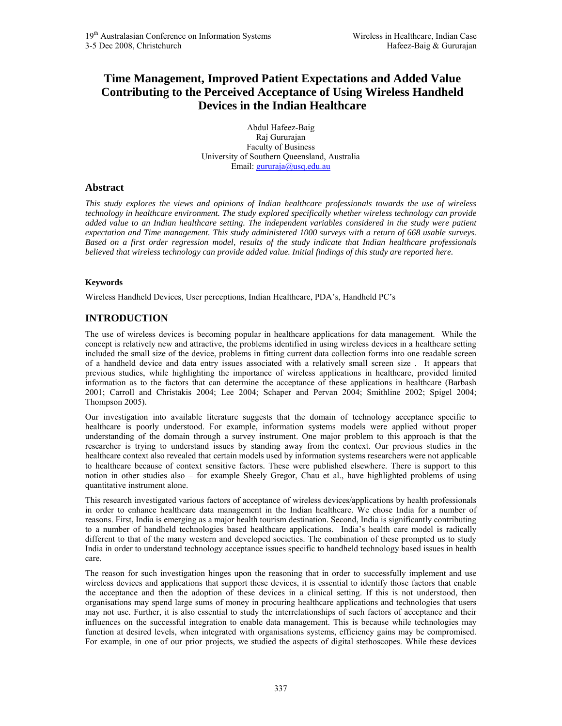# **Time Management, Improved Patient Expectations and Added Value Contributing to the Perceived Acceptance of Using Wireless Handheld Devices in the Indian Healthcare**

Abdul Hafeez-Baig Raj Gururajan Faculty of Business University of Southern Queensland, Australia Email: gururaja@usq.edu.au

#### **Abstract**

*This study explores the views and opinions of Indian healthcare professionals towards the use of wireless technology in healthcare environment. The study explored specifically whether wireless technology can provide added value to an Indian healthcare setting. The independent variables considered in the study were patient expectation and Time management. This study administered 1000 surveys with a return of 668 usable surveys. Based on a first order regression model, results of the study indicate that Indian healthcare professionals believed that wireless technology can provide added value. Initial findings of this study are reported here.* 

#### **Keywords**

Wireless Handheld Devices, User perceptions, Indian Healthcare, PDA's, Handheld PC's

## **INTRODUCTION**

The use of wireless devices is becoming popular in healthcare applications for data management. While the concept is relatively new and attractive, the problems identified in using wireless devices in a healthcare setting included the small size of the device, problems in fitting current data collection forms into one readable screen of a handheld device and data entry issues associated with a relatively small screen size . It appears that previous studies, while highlighting the importance of wireless applications in healthcare, provided limited information as to the factors that can determine the acceptance of these applications in healthcare (Barbash 2001; Carroll and Christakis 2004; Lee 2004; Schaper and Pervan 2004; Smithline 2002; Spigel 2004; Thompson 2005).

Our investigation into available literature suggests that the domain of technology acceptance specific to healthcare is poorly understood. For example, information systems models were applied without proper understanding of the domain through a survey instrument. One major problem to this approach is that the researcher is trying to understand issues by standing away from the context. Our previous studies in the healthcare context also revealed that certain models used by information systems researchers were not applicable to healthcare because of context sensitive factors. These were published elsewhere. There is support to this notion in other studies also – for example Sheely Gregor, Chau et al., have highlighted problems of using quantitative instrument alone.

This research investigated various factors of acceptance of wireless devices/applications by health professionals in order to enhance healthcare data management in the Indian healthcare. We chose India for a number of reasons. First, India is emerging as a major health tourism destination. Second, India is significantly contributing to a number of handheld technologies based healthcare applications. India's health care model is radically different to that of the many western and developed societies. The combination of these prompted us to study India in order to understand technology acceptance issues specific to handheld technology based issues in health care.

The reason for such investigation hinges upon the reasoning that in order to successfully implement and use wireless devices and applications that support these devices, it is essential to identify those factors that enable the acceptance and then the adoption of these devices in a clinical setting. If this is not understood, then organisations may spend large sums of money in procuring healthcare applications and technologies that users may not use. Further, it is also essential to study the interrelationships of such factors of acceptance and their influences on the successful integration to enable data management. This is because while technologies may function at desired levels, when integrated with organisations systems, efficiency gains may be compromised. For example, in one of our prior projects, we studied the aspects of digital stethoscopes. While these devices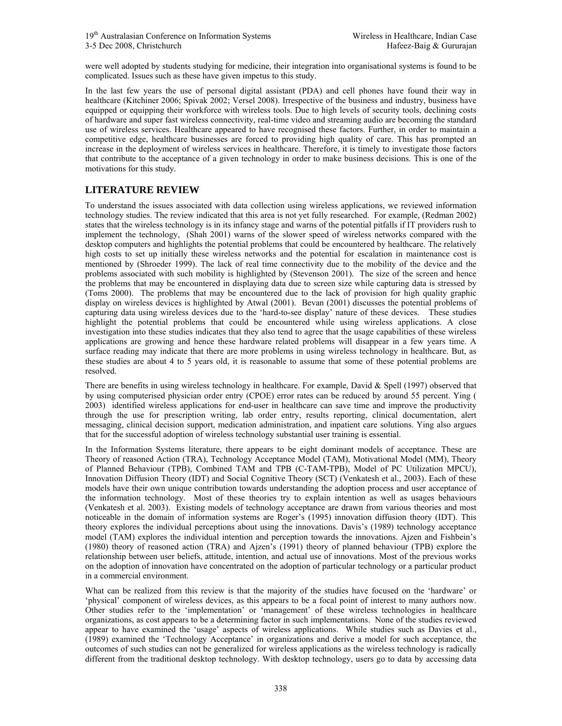were well adopted by students studying for medicine, their integration into organisational systems is found to be complicated. Issues such as these have given impetus to this study.

In the last few years the use of personal digital assistant (PDA) and cell phones have found their way in healthcare (Kitchiner 2006; Spivak 2002; Versel 2008). Irrespective of the business and industry, business have equipped or equipping their workforce with wireless tools. Due to high levels of security tools, declining costs of hardware and super fast wireless connectivity, real-time video and streaming audio are becoming the standard use of wireless services. Healthcare appeared to have recognised these factors. Further, in order to maintain a competitive edge, healthcare businesses are forced to providing high quality of care. This has prompted an increase in the deployment of wireless services in healthcare. Therefore, it is timely to investigate those factors that contribute to the acceptance of a given technology in order to make business decisions. This is one of the motivations for this study.

## **LITERATURE REVIEW**

To understand the issues associated with data collection using wireless applications, we reviewed information technology studies. The review indicated that this area is not yet fully researched. For example, (Redman 2002) states that the wireless technology is in its infancy stage and warns of the potential pitfalls if IT providers rush to implement the technology, (Shah 2001) warns of the slower speed of wireless networks compared with the desktop computers and highlights the potential problems that could be encountered by healthcare. The relatively high costs to set up initially these wireless networks and the potential for escalation in maintenance cost is mentioned by (Shroeder 1999). The lack of real time connectivity due to the mobility of the device and the problems associated with such mobility is highlighted by (Stevenson 2001). The size of the screen and hence the problems that may be encountered in displaying data due to screen size while capturing data is stressed by (Toms 2000). The problems that may be encountered due to the lack of provision for high quality graphic display on wireless devices is highlighted by Atwal (2001). Bevan (2001) discusses the potential problems of capturing data using wireless devices due to the 'hard-to-see display' nature of these devices. These studies highlight the potential problems that could be encountered while using wireless applications. A close investigation into these studies indicates that they also tend to agree that the usage capabilities of these wireless applications are growing and hence these hardware related problems will disappear in a few years time. A surface reading may indicate that there are more problems in using wireless technology in healthcare. But, as these studies are about 4 to 5 years old, it is reasonable to assume that some of these potential problems are resolved.

There are benefits in using wireless technology in healthcare. For example, David & Spell (1997) observed that by using computerised physician order entry (CPOE) error rates can be reduced by around 55 percent. Ying ( 2003) identified wireless applications for end-user in healthcare can save time and improve the productivity through the use for prescription writing, lab order entry, results reporting, clinical documentation, alert messaging, clinical decision support, medication administration, and inpatient care solutions. Ying also argues that for the successful adoption of wireless technology substantial user training is essential.

In the Information Systems literature, there appears to be eight dominant models of acceptance. These are Theory of reasoned Action (TRA), Technology Acceptance Model (TAM), Motivational Model (MM), Theory of Planned Behaviour (TPB), Combined TAM and TPB (C-TAM-TPB), Model of PC Utilization MPCU), Innovation Diffusion Theory (IDT) and Social Cognitive Theory (SCT) (Venkatesh et al., 2003). Each of these models have their own unique contribution towards understanding the adoption process and user acceptance of the information technology. Most of these theories try to explain intention as well as usages behaviours (Venkatesh et al. 2003). Existing models of technology acceptance are drawn from various theories and most noticeable in the domain of information systems are Roger's (1995) innovation diffusion theory (IDT). This theory explores the individual perceptions about using the innovations. Davis's (1989) technology acceptance model (TAM) explores the individual intention and perception towards the innovations. Ajzen and Fishbein's (1980) theory of reasoned action (TRA) and Ajzen's (1991) theory of planned behaviour (TPB) explore the relationship between user beliefs, attitude, intention, and actual use of innovations. Most of the previous works on the adoption of innovation have concentrated on the adoption of particular technology or a particular product in a commercial environment.

What can be realized from this review is that the majority of the studies have focused on the 'hardware' or 'physical' component of wireless devices, as this appears to be a focal point of interest to many authors now. Other studies refer to the 'implementation' or 'management' of these wireless technologies in healthcare organizations, as cost appears to be a determining factor in such implementations. None of the studies reviewed appear to have examined the 'usage' aspects of wireless applications. While studies such as Davies et al., (1989) examined the 'Technology Acceptance' in organizations and derive a model for such acceptance, the outcomes of such studies can not be generalized for wireless applications as the wireless technology is radically different from the traditional desktop technology. With desktop technology, users go to data by accessing data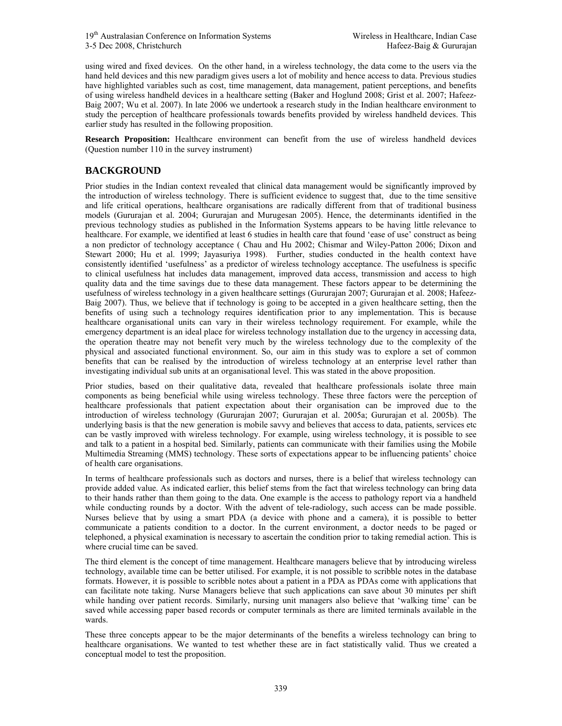using wired and fixed devices. On the other hand, in a wireless technology, the data come to the users via the hand held devices and this new paradigm gives users a lot of mobility and hence access to data. Previous studies have highlighted variables such as cost, time management, data management, patient perceptions, and benefits of using wireless handheld devices in a healthcare setting (Baker and Hoglund 2008; Grist et al. 2007; Hafeez-Baig 2007; Wu et al. 2007). In late 2006 we undertook a research study in the Indian healthcare environment to study the perception of healthcare professionals towards benefits provided by wireless handheld devices. This earlier study has resulted in the following proposition.

**Research Proposition:** Healthcare environment can benefit from the use of wireless handheld devices (Question number 110 in the survey instrument)

### **BACKGROUND**

Prior studies in the Indian context revealed that clinical data management would be significantly improved by the introduction of wireless technology. There is sufficient evidence to suggest that, due to the time sensitive and life critical operations, healthcare organisations are radically different from that of traditional business models (Gururajan et al. 2004; Gururajan and Murugesan 2005). Hence, the determinants identified in the previous technology studies as published in the Information Systems appears to be having little relevance to healthcare. For example, we identified at least 6 studies in health care that found 'ease of use' construct as being a non predictor of technology acceptance ( Chau and Hu 2002; Chismar and Wiley-Patton 2006; Dixon and Stewart 2000; Hu et al. 1999; Jayasuriya 1998). Further, studies conducted in the health context have consistently identified 'usefulness' as a predictor of wireless technology acceptance. The usefulness is specific to clinical usefulness hat includes data management, improved data access, transmission and access to high quality data and the time savings due to these data management. These factors appear to be determining the usefulness of wireless technology in a given healthcare settings (Gururajan 2007; Gururajan et al. 2008; Hafeez-Baig 2007). Thus, we believe that if technology is going to be accepted in a given healthcare setting, then the benefits of using such a technology requires identification prior to any implementation. This is because healthcare organisational units can vary in their wireless technology requirement. For example, while the emergency department is an ideal place for wireless technology installation due to the urgency in accessing data, the operation theatre may not benefit very much by the wireless technology due to the complexity of the physical and associated functional environment. So, our aim in this study was to explore a set of common benefits that can be realised by the introduction of wireless technology at an enterprise level rather than investigating individual sub units at an organisational level. This was stated in the above proposition.

Prior studies, based on their qualitative data, revealed that healthcare professionals isolate three main components as being beneficial while using wireless technology. These three factors were the perception of healthcare professionals that patient expectation about their organisation can be improved due to the introduction of wireless technology (Gururajan 2007; Gururajan et al. 2005a; Gururajan et al. 2005b). The underlying basis is that the new generation is mobile savvy and believes that access to data, patients, services etc can be vastly improved with wireless technology. For example, using wireless technology, it is possible to see and talk to a patient in a hospital bed. Similarly, patients can communicate with their families using the Mobile Multimedia Streaming (MMS) technology. These sorts of expectations appear to be influencing patients' choice of health care organisations.

In terms of healthcare professionals such as doctors and nurses, there is a belief that wireless technology can provide added value. As indicated earlier, this belief stems from the fact that wireless technology can bring data to their hands rather than them going to the data. One example is the access to pathology report via a handheld while conducting rounds by a doctor. With the advent of tele-radiology, such access can be made possible. Nurses believe that by using a smart PDA (a device with phone and a camera), it is possible to better communicate a patients condition to a doctor. In the current environment, a doctor needs to be paged or telephoned, a physical examination is necessary to ascertain the condition prior to taking remedial action. This is where crucial time can be saved.

The third element is the concept of time management. Healthcare managers believe that by introducing wireless technology, available time can be better utilised. For example, it is not possible to scribble notes in the database formats. However, it is possible to scribble notes about a patient in a PDA as PDAs come with applications that can facilitate note taking. Nurse Managers believe that such applications can save about 30 minutes per shift while handing over patient records. Similarly, nursing unit managers also believe that 'walking time' can be saved while accessing paper based records or computer terminals as there are limited terminals available in the wards.

These three concepts appear to be the major determinants of the benefits a wireless technology can bring to healthcare organisations. We wanted to test whether these are in fact statistically valid. Thus we created a conceptual model to test the proposition.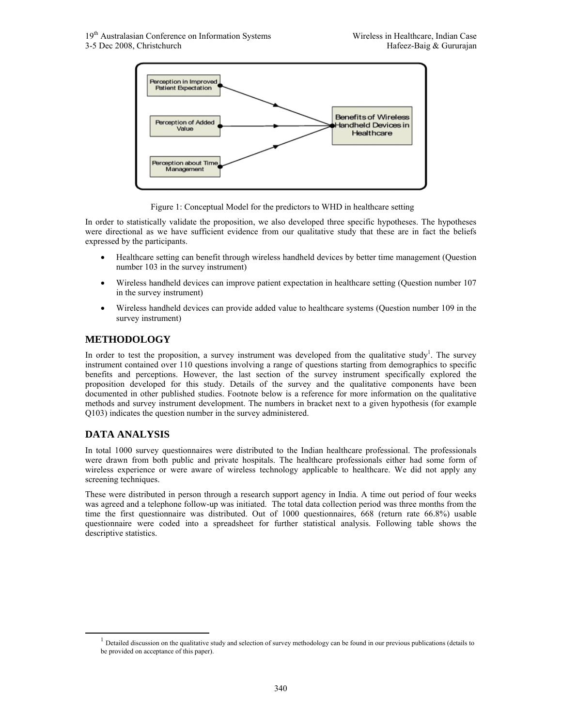

Figure 1: Conceptual Model for the predictors to WHD in healthcare setting

In order to statistically validate the proposition, we also developed three specific hypotheses. The hypotheses were directional as we have sufficient evidence from our qualitative study that these are in fact the beliefs expressed by the participants.

- Healthcare setting can benefit through wireless handheld devices by better time management (Question number 103 in the survey instrument)
- Wireless handheld devices can improve patient expectation in healthcare setting (Question number 107) in the survey instrument)
- Wireless handheld devices can provide added value to healthcare systems (Question number 109 in the survey instrument)

## **METHODOLOGY**

In order to test the proposition, a survey instrument was developed from the qualitative study<sup>1</sup>. The survey instrument contained over 110 questions involving a range of questions starting from demographics to specific benefits and perceptions. However, the last section of the survey instrument specifically explored the proposition developed for this study. Details of the survey and the qualitative components have been documented in other published studies. Footnote below is a reference for more information on the qualitative methods and survey instrument development. The numbers in bracket next to a given hypothesis (for example Q103) indicates the question number in the survey administered.

## **DATA ANALYSIS**

In total 1000 survey questionnaires were distributed to the Indian healthcare professional. The professionals were drawn from both public and private hospitals. The healthcare professionals either had some form of wireless experience or were aware of wireless technology applicable to healthcare. We did not apply any screening techniques.

These were distributed in person through a research support agency in India. A time out period of four weeks was agreed and a telephone follow-up was initiated. The total data collection period was three months from the time the first questionnaire was distributed. Out of 1000 questionnaires, 668 (return rate 66.8%) usable questionnaire were coded into a spreadsheet for further statistical analysis. Following table shows the descriptive statistics.

 $<sup>1</sup>$  Detailed discussion on the qualitative study and selection of survey methodology can be found in our previous publications (details to</sup> be provided on acceptance of this paper).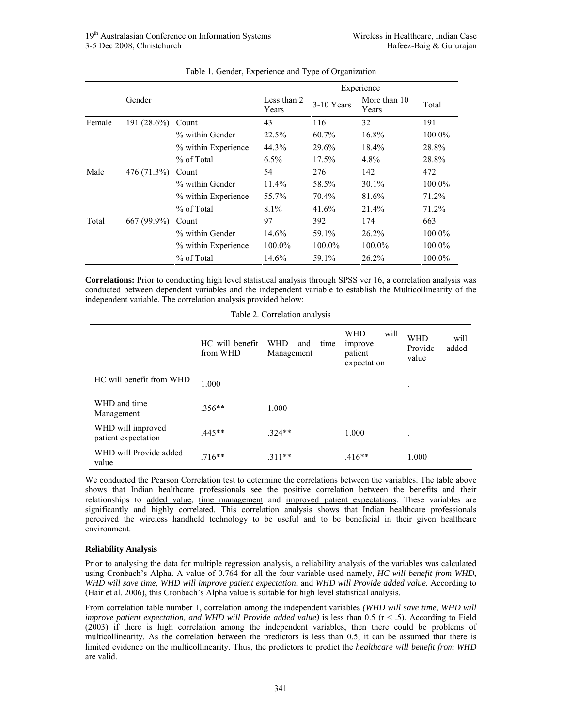|        |             |                     |                      |            | Experience            |        |
|--------|-------------|---------------------|----------------------|------------|-----------------------|--------|
|        | Gender      |                     | Less than 2<br>Years | 3-10 Years | More than 10<br>Years | Total  |
| Female | 191 (28.6%) | Count               | 43                   | 116        | 32                    | 191    |
|        |             | % within Gender     | 22.5%                | 60.7%      | 16.8%                 | 100.0% |
|        |             | % within Experience | 44.3%                | 29.6%      | 18.4%                 | 28.8%  |
|        |             | % of Total          | $6.5\%$              | $17.5\%$   | 4.8%                  | 28.8%  |
| Male   | 476 (71.3%) | Count               | 54                   | 276        | 142                   | 472    |
|        |             | % within Gender     | 11.4%                | 58.5%      | $30.1\%$              | 100.0% |
|        |             | % within Experience | 55.7%                | 70.4%      | 81.6%                 | 71.2%  |
|        |             | % of Total          | 8.1%                 | 41.6%      | 21.4%                 | 71.2%  |
| Total  | 667 (99.9%) | Count               | 97                   | 392        | 174                   | 663    |
|        |             | % within Gender     | 14.6%                | 59.1%      | 26.2%                 | 100.0% |
|        |             | % within Experience | 100.0%               | 100.0%     | 100.0%                | 100.0% |
|        |             | % of Total          | 14.6%                | 59.1%      | 26.2%                 | 100.0% |

| Table 1. Gender, Experience and Type of Organization |  |  |  |  |
|------------------------------------------------------|--|--|--|--|
|------------------------------------------------------|--|--|--|--|

**Correlations:** Prior to conducting high level statistical analysis through SPSS ver 16, a correlation analysis was conducted between dependent variables and the independent variable to establish the Multicollinearity of the independent variable. The correlation analysis provided below:

| Table 2. Correlation analysis |  |
|-------------------------------|--|
|                               |  |

|                                          | HC will benefit<br>from WHD | <b>WHD</b><br>time<br>and<br>Management | <b>WHD</b><br>will<br>improve<br>patient<br>expectation | <b>WHD</b><br>will<br>added<br>Provide<br>value |
|------------------------------------------|-----------------------------|-----------------------------------------|---------------------------------------------------------|-------------------------------------------------|
| HC will benefit from WHD                 | 1.000                       |                                         |                                                         | $\bullet$                                       |
| WHD and time<br>Management               | $.356**$                    | 1.000                                   |                                                         |                                                 |
| WHD will improved<br>patient expectation | $.445**$                    | $324**$                                 | 1.000                                                   | ٠                                               |
| WHD will Provide added<br>value          | $.716**$                    | $.311**$                                | $.416**$                                                | 1.000                                           |

We conducted the Pearson Correlation test to determine the correlations between the variables. The table above shows that Indian healthcare professionals see the positive correlation between the benefits and their relationships to added value, time management and improved patient expectations. These variables are significantly and highly correlated. This correlation analysis shows that Indian healthcare professionals perceived the wireless handheld technology to be useful and to be beneficial in their given healthcare environment.

#### **Reliability Analysis**

Prior to analysing the data for multiple regression analysis, a reliability analysis of the variables was calculated using Cronbach's Alpha. A value of 0.764 for all the four variable used namely, *HC will benefit from WHD*, *WHD will save time*, *WHD will improve patient expectation*, and *WHD will Provide added value.* According to (Hair et al. 2006), this Cronbach's Alpha value is suitable for high level statistical analysis.

From correlation table number 1, correlation among the independent variables *(WHD will save time, WHD will improve patient expectation, and WHD will Provide added value*) is less than 0.5 ( $r < .5$ ). According to Field (2003) if there is high correlation among the independent variables, then there could be problems of multicollinearity. As the correlation between the predictors is less than 0.5, it can be assumed that there is limited evidence on the multicollinearity. Thus, the predictors to predict the *healthcare will benefit from WHD* are valid.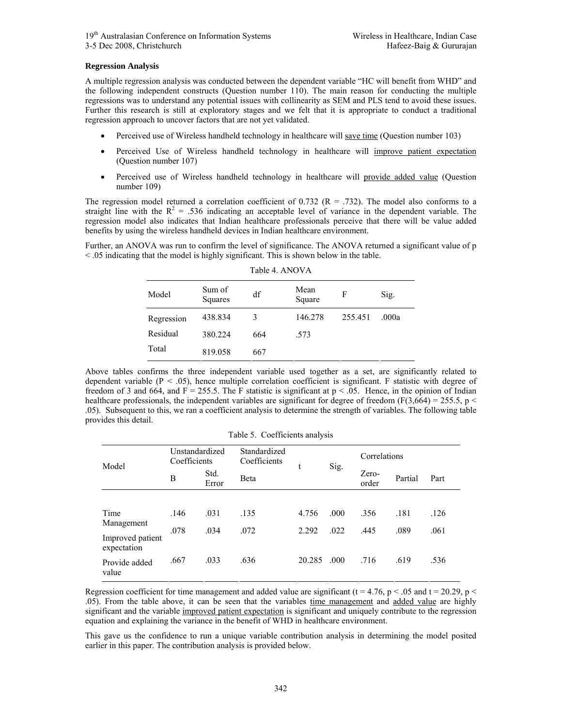#### **Regression Analysis**

A multiple regression analysis was conducted between the dependent variable "HC will benefit from WHD" and the following independent constructs (Question number 110). The main reason for conducting the multiple regressions was to understand any potential issues with collinearity as SEM and PLS tend to avoid these issues. Further this research is still at exploratory stages and we felt that it is appropriate to conduct a traditional regression approach to uncover factors that are not yet validated.

- Perceived use of Wireless handheld technology in healthcare will save time (Question number 103)
- Perceived Use of Wireless handheld technology in healthcare will improve patient expectation (Question number 107)
- Perceived use of Wireless handheld technology in healthcare will provide added value (Question number 109)

The regression model returned a correlation coefficient of 0.732 ( $R = .732$ ). The model also conforms to a straight line with the  $R^2 = .536$  indicating an acceptable level of variance in the dependent variable. The regression model also indicates that Indian healthcare professionals perceive that there will be value added benefits by using the wireless handheld devices in Indian healthcare environment.

Further, an ANOVA was run to confirm the level of significance. The ANOVA returned a significant value of p < .05 indicating that the model is highly significant. This is shown below in the table. Table 4. ANOVA

| .          |                   |     |                |         |       |  |  |  |
|------------|-------------------|-----|----------------|---------|-------|--|--|--|
| Model      | Sum of<br>Squares | df  | Mean<br>Square | F       | Sig.  |  |  |  |
| Regression | 438.834           | 3   | 146.278        | 255.451 | .000a |  |  |  |
| Residual   | 380.224           | 664 | .573           |         |       |  |  |  |
| Total      | 819.058           | 667 |                |         |       |  |  |  |

Above tables confirms the three independent variable used together as a set, are significantly related to dependent variable  $(P < .05)$ , hence multiple correlation coefficient is significant. F statistic with degree of freedom of 3 and 664, and F = 255.5. The F statistic is significant at  $p < 0.05$ . Hence, in the opinion of Indian healthcare professionals, the independent variables are significant for degree of freedom (F(3,664) = 255.5, p < .05). Subsequent to this, we ran a coefficient analysis to determine the strength of variables. The following table provides this detail.

| Model                           | Unstandardized<br>Coefficients |               | Standardized<br>Coefficients |        |      | Correlations   |         |      |
|---------------------------------|--------------------------------|---------------|------------------------------|--------|------|----------------|---------|------|
|                                 | B                              | Std.<br>Error | <b>B</b> eta                 |        | Sig. | Zero-<br>order | Partial | Part |
|                                 |                                |               |                              |        |      |                |         |      |
| Time<br>Management              | .146                           | .031          | .135                         | 4.756  | .000 | .356           | .181    | .126 |
| Improved patient<br>expectation | .078                           | .034          | .072                         | 2.292  | .022 | .445           | .089    | .061 |
| Provide added<br>value          | .667                           | .033          | .636                         | 20.285 | .000 | .716           | .619    | .536 |

Regression coefficient for time management and added value are significant (t = 4.76, p < .05 and t = 20.29, p < .05). From the table above, it can be seen that the variables time management and added value are highly significant and the variable improved patient expectation is significant and uniquely contribute to the regression equation and explaining the variance in the benefit of WHD in healthcare environment.

This gave us the confidence to run a unique variable contribution analysis in determining the model posited earlier in this paper. The contribution analysis is provided below.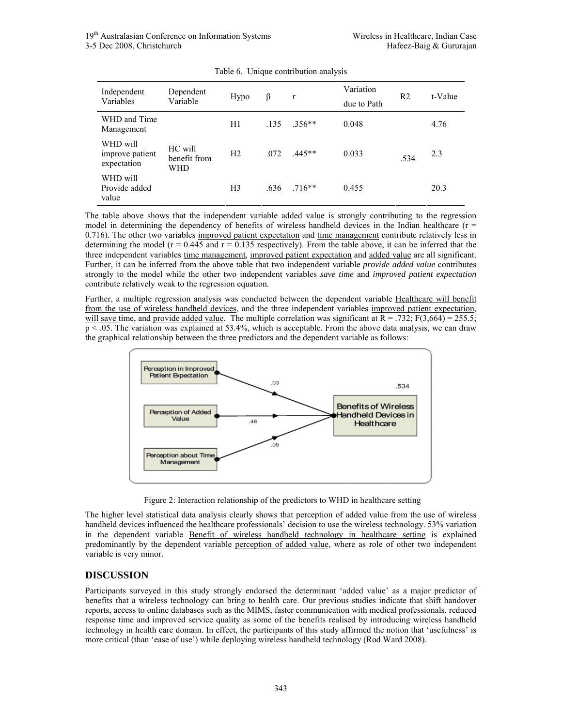| Independent<br>Variables                   | Dependent<br>Variable          | Hypo           | β    | $\mathbf r$ | Variation<br>due to Path | R2   | t-Value |
|--------------------------------------------|--------------------------------|----------------|------|-------------|--------------------------|------|---------|
| WHD and Time<br>Management                 |                                | H1             | .135 | $.356**$    | 0.048                    |      | 4.76    |
| WHD will<br>improve patient<br>expectation | HC will<br>benefit from<br>WHD | H <sub>2</sub> | .072 | $.445**$    | 0.033                    | .534 | 2.3     |
| WHD will<br>Provide added<br>value         |                                | H <sub>3</sub> | .636 | $.716**$    | 0.455                    |      | 20.3    |

Table 6. Unique contribution analysis

The table above shows that the independent variable added value is strongly contributing to the regression model in determining the dependency of benefits of wireless handheld devices in the Indian healthcare ( $r =$ 0.716). The other two variables improved patient expectation and time management contribute relatively less in determining the model ( $r = 0.445$  and  $r = 0.135$  respectively). From the table above, it can be inferred that the three independent variables time management, improved patient expectation and added value are all significant. Further, it can be inferred from the above table that two independent variable *provide added value* contributes strongly to the model while the other two independent variables *save time* and *improved patient expectation* contribute relatively weak to the regression equation.

Further, a multiple regression analysis was conducted between the dependent variable Healthcare will benefit from the use of wireless handheld devices, and the three independent variables improved patient expectation, will save time, and provide added value. The multiple correlation was significant at  $\overline{R} = .732$ ; F(3,664) = 255.5; p < .05. The variation was explained at 53.4%, which is acceptable. From the above data analysis, we can draw the graphical relationship between the three predictors and the dependent variable as follows:



Figure 2: Interaction relationship of the predictors to WHD in healthcare setting

The higher level statistical data analysis clearly shows that perception of added value from the use of wireless handheld devices influenced the healthcare professionals' decision to use the wireless technology. 53% variation in the dependent variable Benefit of wireless handheld technology in healthcare setting is explained predominantly by the dependent variable perception of added value, where as role of other two independent variable is very minor.

## **DISCUSSION**

Participants surveyed in this study strongly endorsed the determinant 'added value' as a major predictor of benefits that a wireless technology can bring to health care. Our previous studies indicate that shift handover reports, access to online databases such as the MIMS, faster communication with medical professionals, reduced response time and improved service quality as some of the benefits realised by introducing wireless handheld technology in health care domain. In effect, the participants of this study affirmed the notion that 'usefulness' is more critical (than 'ease of use') while deploying wireless handheld technology (Rod Ward 2008).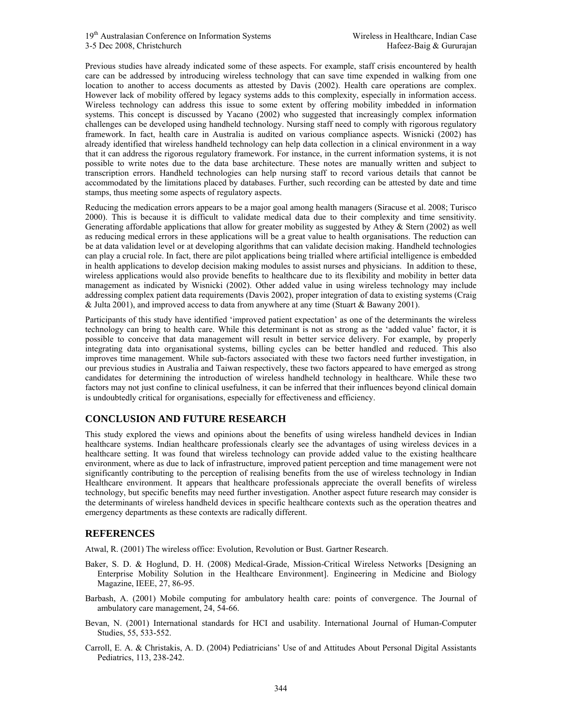Previous studies have already indicated some of these aspects. For example, staff crisis encountered by health care can be addressed by introducing wireless technology that can save time expended in walking from one location to another to access documents as attested by Davis (2002). Health care operations are complex. However lack of mobility offered by legacy systems adds to this complexity, especially in information access. Wireless technology can address this issue to some extent by offering mobility imbedded in information systems. This concept is discussed by Yacano (2002) who suggested that increasingly complex information challenges can be developed using handheld technology. Nursing staff need to comply with rigorous regulatory framework. In fact, health care in Australia is audited on various compliance aspects. Wisnicki (2002) has already identified that wireless handheld technology can help data collection in a clinical environment in a way that it can address the rigorous regulatory framework. For instance, in the current information systems, it is not possible to write notes due to the data base architecture. These notes are manually written and subject to transcription errors. Handheld technologies can help nursing staff to record various details that cannot be accommodated by the limitations placed by databases. Further, such recording can be attested by date and time stamps, thus meeting some aspects of regulatory aspects.

Reducing the medication errors appears to be a major goal among health managers (Siracuse et al. 2008; Turisco 2000). This is because it is difficult to validate medical data due to their complexity and time sensitivity. Generating affordable applications that allow for greater mobility as suggested by Athey & Stern (2002) as well as reducing medical errors in these applications will be a great value to health organisations. The reduction can be at data validation level or at developing algorithms that can validate decision making. Handheld technologies can play a crucial role. In fact, there are pilot applications being trialled where artificial intelligence is embedded in health applications to develop decision making modules to assist nurses and physicians. In addition to these, wireless applications would also provide benefits to healthcare due to its flexibility and mobility in better data management as indicated by Wisnicki (2002). Other added value in using wireless technology may include addressing complex patient data requirements (Davis 2002), proper integration of data to existing systems (Craig & Julta 2001), and improved access to data from anywhere at any time (Stuart & Bawany 2001).

Participants of this study have identified 'improved patient expectation' as one of the determinants the wireless technology can bring to health care. While this determinant is not as strong as the 'added value' factor, it is possible to conceive that data management will result in better service delivery. For example, by properly integrating data into organisational systems, billing cycles can be better handled and reduced. This also improves time management. While sub-factors associated with these two factors need further investigation, in our previous studies in Australia and Taiwan respectively, these two factors appeared to have emerged as strong candidates for determining the introduction of wireless handheld technology in healthcare. While these two factors may not just confine to clinical usefulness, it can be inferred that their influences beyond clinical domain is undoubtedly critical for organisations, especially for effectiveness and efficiency.

## **CONCLUSION AND FUTURE RESEARCH**

This study explored the views and opinions about the benefits of using wireless handheld devices in Indian healthcare systems. Indian healthcare professionals clearly see the advantages of using wireless devices in a healthcare setting. It was found that wireless technology can provide added value to the existing healthcare environment, where as due to lack of infrastructure, improved patient perception and time management were not significantly contributing to the perception of realising benefits from the use of wireless technology in Indian Healthcare environment. It appears that healthcare professionals appreciate the overall benefits of wireless technology, but specific benefits may need further investigation. Another aspect future research may consider is the determinants of wireless handheld devices in specific healthcare contexts such as the operation theatres and emergency departments as these contexts are radically different.

## **REFERENCES**

Atwal, R. (2001) The wireless office: Evolution, Revolution or Bust. Gartner Research.

- Baker, S. D. & Hoglund, D. H. (2008) Medical-Grade, Mission-Critical Wireless Networks [Designing an Enterprise Mobility Solution in the Healthcare Environment]. Engineering in Medicine and Biology Magazine, IEEE, 27, 86-95.
- Barbash, A. (2001) Mobile computing for ambulatory health care: points of convergence. The Journal of ambulatory care management, 24, 54-66.
- Bevan, N. (2001) International standards for HCI and usability. International Journal of Human-Computer Studies, 55, 533-552.
- Carroll, E. A. & Christakis, A. D. (2004) Pediatricians' Use of and Attitudes About Personal Digital Assistants Pediatrics, 113, 238-242.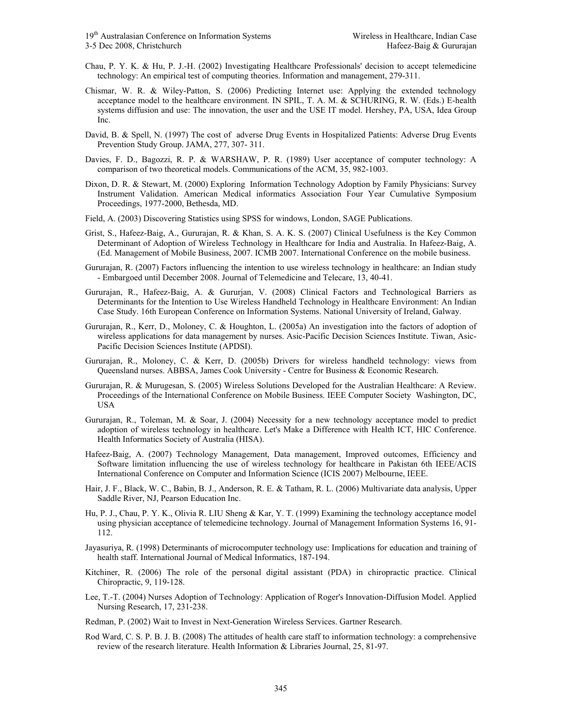- Chau, P. Y. K. & Hu, P. J.-H. (2002) Investigating Healthcare Professionals' decision to accept telemedicine technology: An empirical test of computing theories. Information and management, 279-311.
- Chismar, W. R. & Wiley-Patton, S. (2006) Predicting Internet use: Applying the extended technology acceptance model to the healthcare environment. IN SPIL, T. A. M. & SCHURING, R. W. (Eds.) E-health systems diffusion and use: The innovation, the user and the USE IT model. Hershey, PA, USA, Idea Group Inc.
- David, B. & Spell, N. (1997) The cost of adverse Drug Events in Hospitalized Patients: Adverse Drug Events Prevention Study Group. JAMA, 277, 307- 311.
- Davies, F. D., Bagozzi, R. P. & WARSHAW, P. R. (1989) User acceptance of computer technology: A comparison of two theoretical models. Communications of the ACM, 35, 982-1003.
- Dixon, D. R. & Stewart, M. (2000) Exploring Information Technology Adoption by Family Physicians: Survey Instrument Validation. American Medical informatics Association Four Year Cumulative Symposium Proceedings, 1977-2000, Bethesda, MD.
- Field, A. (2003) Discovering Statistics using SPSS for windows, London, SAGE Publications.
- Grist, S., Hafeez-Baig, A., Gururajan, R. & Khan, S. A. K. S. (2007) Clinical Usefulness is the Key Common Determinant of Adoption of Wireless Technology in Healthcare for India and Australia. In Hafeez-Baig, A. (Ed. Management of Mobile Business, 2007. ICMB 2007. International Conference on the mobile business.
- Gururajan, R. (2007) Factors influencing the intention to use wireless technology in healthcare: an Indian study - Embargoed until December 2008. Journal of Telemedicine and Telecare, 13, 40-41.
- Gururajan, R., Hafeez-Baig, A. & Gururjan, V. (2008) Clinical Factors and Technological Barriers as Determinants for the Intention to Use Wireless Handheld Technology in Healthcare Environment: An Indian Case Study. 16th European Conference on Information Systems. National University of Ireland, Galway.
- Gururajan, R., Kerr, D., Moloney, C. & Houghton, L. (2005a) An investigation into the factors of adoption of wireless applications for data management by nurses. Asic-Pacific Decision Sciences Institute. Tiwan, Asic-Pacific Decision Sciences Institute (APDSI).
- Gururajan, R., Moloney, C. & Kerr, D. (2005b) Drivers for wireless handheld technology: views from Queensland nurses. ABBSA, James Cook University - Centre for Business & Economic Research.
- Gururajan, R. & Murugesan, S. (2005) Wireless Solutions Developed for the Australian Healthcare: A Review. Proceedings of the International Conference on Mobile Business. IEEE Computer Society Washington, DC, USA
- Gururajan, R., Toleman, M. & Soar, J. (2004) Necessity for a new technology acceptance model to predict adoption of wireless technology in healthcare. Let's Make a Difference with Health ICT, HIC Conference. Health Informatics Society of Australia (HISA).
- Hafeez-Baig, A. (2007) Technology Management, Data management, Improved outcomes, Efficiency and Software limitation influencing the use of wireless technology for healthcare in Pakistan 6th IEEE/ACIS International Conference on Computer and Information Science (ICIS 2007) Melbourne, IEEE.
- Hair, J. F., Black, W. C., Babin, B. J., Anderson, R. E. & Tatham, R. L. (2006) Multivariate data analysis, Upper Saddle River, NJ, Pearson Education Inc.
- Hu, P. J., Chau, P. Y. K., Olivia R. LIU Sheng & Kar, Y. T. (1999) Examining the technology acceptance model using physician acceptance of telemedicine technology. Journal of Management Information Systems 16, 91- 112.
- Jayasuriya, R. (1998) Determinants of microcomputer technology use: Implications for education and training of health staff. International Journal of Medical Informatics, 187-194.
- Kitchiner, R. (2006) The role of the personal digital assistant (PDA) in chiropractic practice. Clinical Chiropractic, 9, 119-128.
- Lee, T.-T. (2004) Nurses Adoption of Technology: Application of Roger's Innovation-Diffusion Model. Applied Nursing Research, 17, 231-238.
- Redman, P. (2002) Wait to Invest in Next-Generation Wireless Services. Gartner Research.
- Rod Ward, C. S. P. B. J. B. (2008) The attitudes of health care staff to information technology: a comprehensive review of the research literature. Health Information & Libraries Journal, 25, 81-97.